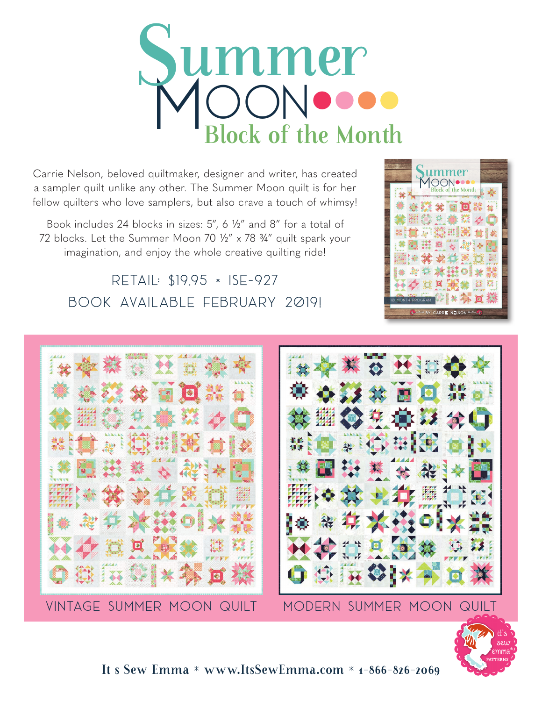# Summer<br>MOON ock of the Month

Carrie Nelson, beloved quiltmaker, designer and writer, has created a sampler quilt unlike any other. The Summer Moon quilt is for her fellow quilters who love samplers, but also crave a touch of whimsy!

Book includes 24 blocks in sizes: 5", 6 ½" and 8" for a total of 72 blocks. Let the Summer Moon 70 ½" x 78 ¾" quilt spark your imagination, and enjoy the whole creative quilting ride!

Retail: \$19.95 × ISE-927 Book available February 2019!





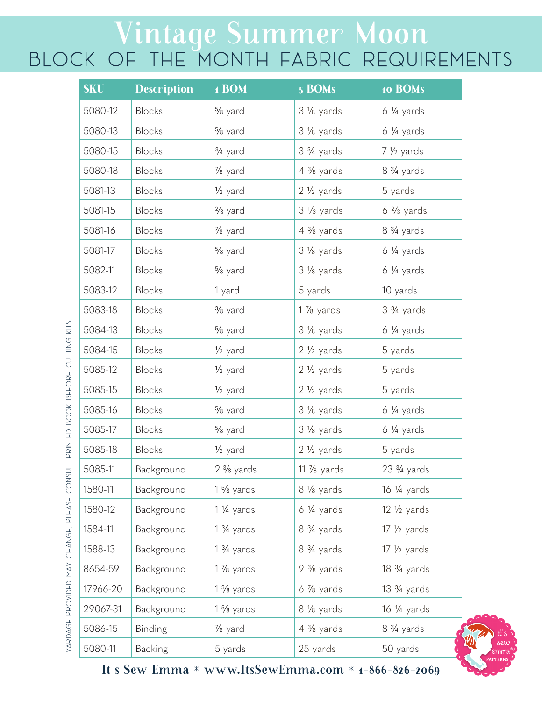#### Vintage Summer Moon BLOCK OF THE MONTH FABRIC REQUIREMENTS

| <b>SKU</b> | <b>Description</b> | 1 BOM                | 5 BOMs                 | 10 BOMs                              |
|------------|--------------------|----------------------|------------------------|--------------------------------------|
| 5080-12    | <b>Blocks</b>      | % yard               | 3 % yards              | $6\frac{1}{4}$ yards                 |
| 5080-13    | <b>Blocks</b>      | % yard               | 3 % yards              | $6\frac{1}{4}$ yards                 |
| 5080-15    | <b>Blocks</b>      | 3/4 yard             | 3 3/4 yards            | 7 1/2 yards                          |
| 5080-18    | <b>Blocks</b>      | 1/8 yard             | $4\frac{3}{8}$ yards   | 8 <sup>3</sup> / <sub>4</sub> yards  |
| 5081-13    | <b>Blocks</b>      | $\frac{1}{2}$ yard   | $2\frac{1}{2}$ yards   | 5 yards                              |
| 5081-15    | <b>Blocks</b>      | $\frac{2}{3}$ yard   | $3\frac{1}{3}$ yards   | $6\frac{2}{3}$ yards                 |
| 5081-16    | <b>Blocks</b>      | 1/8 yard             | $4\frac{3}{8}$ yards   | 8 <sup>3</sup> / <sub>4</sub> yards  |
| 5081-17    | <b>Blocks</b>      | % yard               | 3 % yards              | $6\frac{1}{4}$ yards                 |
| 5082-11    | <b>Blocks</b>      | % yard               | 3 % yards              | $6\frac{1}{4}$ yards                 |
| 5083-12    | <b>Blocks</b>      | 1 yard               | 5 yards                | 10 yards                             |
| 5083-18    | <b>Blocks</b>      | % yard               | 1 % yards              | 3 <sup>3</sup> / <sub>4</sub> yards  |
| 5084-13    | <b>Blocks</b>      | % yard               | 3 % yards              | $6\frac{1}{4}$ yards                 |
| 5084-15    | <b>Blocks</b>      | $\frac{1}{2}$ yard   | $2\frac{1}{2}$ yards   | 5 yards                              |
| 5085-12    | <b>Blocks</b>      | $\frac{1}{2}$ yard   | $2\frac{1}{2}$ yards   | 5 yards                              |
| 5085-15    | <b>Blocks</b>      | 1/ <sub>2</sub> yard | 2 1/2 yards            | 5 yards                              |
| 5085-16    | <b>Blocks</b>      | % yard               | 3 % yards              | $6\frac{1}{4}$ yards                 |
| 5085-17    | <b>Blocks</b>      | % yard               | 3 1/8 yards            | $6\frac{1}{4}$ yards                 |
| 5085-18    | <b>Blocks</b>      | 1/ <sub>2</sub> yard | $2\frac{1}{2}$ yards   | 5 yards                              |
| 5085-11    | Background         | $2\frac{3}{8}$ yards | 11 $\frac{7}{8}$ yards | 23 <sup>3</sup> / <sub>4</sub> yards |
| 1580-11    | Background         | $1\frac{5}{8}$ yards | 8 1/8 yards            | $16\frac{1}{4}$ yards                |
| 1580-12    | Background         | $1\frac{1}{4}$ yards | $6\frac{1}{4}$ yards   | $12\frac{1}{2}$ yards                |
| 1584-11    | Background         | $1\frac{3}{4}$ yards | 8 3/4 yards            | $17\frac{1}{2}$ yards                |
| 1588-13    | Background         | $1\frac{3}{4}$ yards | 8 3/4 yards            | $17\frac{1}{2}$ yards                |
| 8654-59    | Background         | $1\%$ yards          | $9\frac{3}{8}$ yards   | 18 <sup>3</sup> / <sub>4</sub> yards |
| 17966-20   | Background         | $1\frac{3}{8}$ yards | $6\%$ yards            | 13 3/4 yards                         |
| 29067-31   | Background         | 1 % yards            | 8 1/8 yards            | 16 ¼ yards                           |
| 5086-15    | Binding            | 1/8 yard             | 4 % yards              | 8 <sup>3</sup> / <sub>4</sub> yards  |
| 5080-11    | <b>Backing</b>     | 5 yards              | 25 yards               | 50 yards                             |

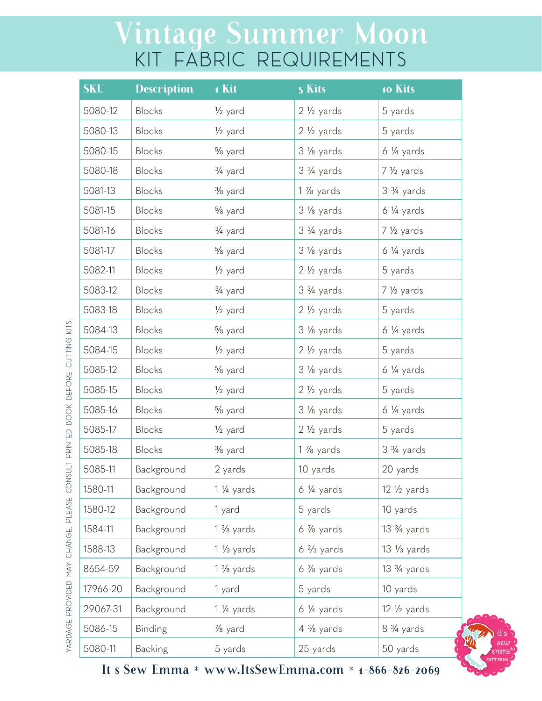# Vintage Summer Moon KIT FABRIC REQUIREMENTS

| <b>SKU</b> | <b>Description</b> | 1 Kit                | 5 Kits                              | 10 Kits                              |
|------------|--------------------|----------------------|-------------------------------------|--------------------------------------|
| 5080-12    | <b>Blocks</b>      | 1/ <sub>2</sub> yard | $2\frac{1}{2}$ yards                | 5 yards                              |
| 5080-13    | Blocks             | 1/ <sub>2</sub> yard | $2\frac{1}{2}$ yards                | 5 yards                              |
| 5080-15    | <b>Blocks</b>      | % yard               | 3 1/8 yards                         | $6\frac{1}{4}$ yards                 |
| 5080-18    | <b>Blocks</b>      | 3/ <sub>4</sub> yard | 3 3/4 yards                         | 7 1/ <sub>2</sub> yards              |
| 5081-13    | <b>Blocks</b>      | $\frac{3}{8}$ yard   | 1 % yards                           | 3 3/4 yards                          |
| 5081-15    | <b>Blocks</b>      | % yard               | 3 1/8 yards                         | $6\frac{1}{4}$ yards                 |
| 5081-16    | <b>Blocks</b>      | 3/ <sub>4</sub> yard | 3 <sup>3</sup> / <sub>4</sub> yards | $7\frac{1}{2}$ yards                 |
| 5081-17    | Blocks             | % yard               | 3 % yards                           | $6\frac{1}{4}$ yards                 |
| 5082-11    | Blocks             | 1/ <sub>2</sub> yard | $2\frac{1}{2}$ yards                | 5 yards                              |
| 5083-12    | <b>Blocks</b>      | 3/ <sub>4</sub> yard | 3 <sup>3</sup> / <sub>4</sub> yards | 7 1/2 yards                          |
| 5083-18    | <b>Blocks</b>      | 1/ <sub>2</sub> yard | $2\frac{1}{2}$ yards                | 5 yards                              |
| 5084-13    | <b>Blocks</b>      | % yard               | 3 1/8 yards                         | $6\frac{1}{4}$ yards                 |
| 5084-15    | <b>Blocks</b>      | $\frac{1}{2}$ yard   | $2\frac{1}{2}$ yards                | 5 yards                              |
| 5085-12    | <b>Blocks</b>      | % yard               | 3 1/8 yards                         | $6\frac{1}{4}$ yards                 |
| 5085-15    | <b>Blocks</b>      | 1/ <sub>2</sub> yard | $2\frac{1}{2}$ yards                | 5 yards                              |
| 5085-16    | Blocks             | % yard               | 3 1/8 yards                         | $6\frac{1}{4}$ yards                 |
| 5085-17    | <b>Blocks</b>      | 1/ <sub>2</sub> yard | $2\frac{1}{2}$ yards                | 5 yards                              |
| 5085-18    | Blocks             | % yard               | 1 % yards                           | 3 3/4 yards                          |
| 5085-11    | Background         | 2 yards              | 10 yards                            | 20 yards                             |
| 1580-11    | Background         | $1\frac{1}{4}$ yards | $6\frac{1}{4}$ yards                | $12\frac{1}{2}$ yards                |
| 1580-12    | Background         | 1 yard               | 5 yards                             | 10 yards                             |
| 1584-11    | Background         | 1 % yards            | $6\%$ yards                         | 13 <sup>3</sup> / <sub>4</sub> yards |
| 1588-13    | Background         | $1\frac{1}{3}$ yards | $6\frac{2}{3}$ yards                | $13\frac{1}{3}$ yards                |
| 8654-59    | Background         | $1\frac{3}{8}$ yards | $6\%$ yards                         | 13 3/4 yards                         |
| 17966-20   | Background         | 1 yard               | 5 yards                             | 10 yards                             |
| 29067-31   | Background         | 1 1/4 yards          | $6\frac{1}{4}$ yards                | $12\frac{1}{2}$ yards                |
| 5086-15    | Binding            | 1/8 yard             | $4\frac{3}{8}$ yards                | 8 <sup>3</sup> / <sub>4</sub> yards  |
| 5080-11    | Backing            | 5 yards              | 25 yards                            | 50 yards                             |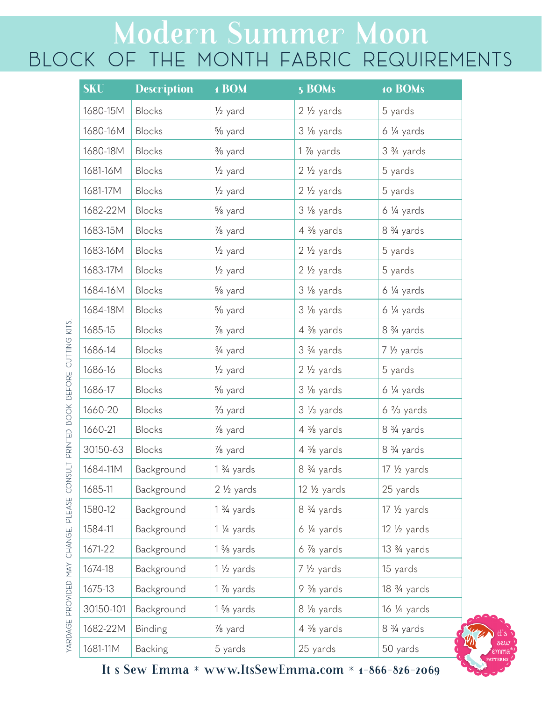# Modern Summer Moon BLOCK OF THE MONTH FABRIC REQUIREMENTS

| <b>SKU</b> | <b>Description</b> | 1 BOM                | 5 BOMs                | 10 BOMs                              |
|------------|--------------------|----------------------|-----------------------|--------------------------------------|
| 1680-15M   | Blocks             | $\frac{1}{2}$ yard   | $2\frac{1}{2}$ yards  | 5 yards                              |
| 1680-16M   | <b>Blocks</b>      | % yard               | 3 % yards             | $6\frac{1}{4}$ yards                 |
| 1680-18M   | <b>Blocks</b>      | 3/ <sub>8</sub> yard | $1\%$ yards           | 3 <sup>3</sup> / <sub>4</sub> yards  |
| 1681-16M   | <b>Blocks</b>      | 1/ <sub>2</sub> yard | $2\frac{1}{2}$ yards  | 5 yards                              |
| 1681-17M   | <b>Blocks</b>      | 1/ <sub>2</sub> yard | $2\frac{1}{2}$ yards  | 5 yards                              |
| 1682-22M   | <b>Blocks</b>      | % yard               | 3 % yards             | $6\frac{1}{4}$ yards                 |
| 1683-15M   | <b>Blocks</b>      | 1/8 yard             | 4 % yards             | 8 3/4 yards                          |
| 1683-16M   | <b>Blocks</b>      | 1/ <sub>2</sub> yard | $2\frac{1}{2}$ yards  | 5 yards                              |
| 1683-17M   | <b>Blocks</b>      | $\frac{1}{2}$ yard   | $2\frac{1}{2}$ yards  | 5 yards                              |
| 1684-16M   | <b>Blocks</b>      | % yard               | 3 1/8 yards           | 6 ¼ yards                            |
| 1684-18M   | <b>Blocks</b>      | % yard               | 3 % yards             | 6 ¼ yards                            |
| 1685-15    | <b>Blocks</b>      | 1/8 yard             | $4\frac{3}{8}$ yards  | 8 3/4 yards                          |
| 1686-14    | <b>Blocks</b>      | 3/4 yard             | 3 3/4 yards           | 7 1/2 yards                          |
| 1686-16    | <b>Blocks</b>      | 1/ <sub>2</sub> yard | $2\frac{1}{2}$ yards  | 5 yards                              |
| 1686-17    | <b>Blocks</b>      | % yard               | 3 % yards             | 6 ¼ yards                            |
| 1660-20    | <b>Blocks</b>      | $\frac{2}{3}$ yard   | $3\frac{1}{3}$ yards  | $6\frac{2}{3}$ yards                 |
| 1660-21    | <b>Blocks</b>      | 1/8 yard             | $4\frac{3}{8}$ yards  | 8 <sup>3</sup> / <sub>4</sub> yards  |
| 30150-63   | <b>Blocks</b>      | 1/8 yard             | $4\frac{3}{8}$ yards  | 8 <sup>3</sup> / <sub>4</sub> yards  |
| 1684-11M   | Background         | $1\frac{3}{4}$ yards | 8 3/4 yards           | $17\frac{1}{2}$ yards                |
| 1685-11    | Background         | $2\frac{1}{2}$ yards | $12\frac{1}{2}$ yards | 25 yards                             |
| 1580-12    | Background         | $1\frac{3}{4}$ yards | 8 3/4 yards           | $17\frac{1}{2}$ yards                |
| 1584-11    | Background         | 1 1/4 yards          | $6\frac{1}{4}$ yards  | $12\frac{1}{2}$ yards                |
| 1671-22    | Background         | $1\frac{3}{8}$ yards | $6\%$ yards           | $13\frac{3}{4}$ yards                |
| 1674-18    | Background         | $1\frac{1}{2}$ yards | 7 1/2 yards           | 15 yards                             |
| 1675-13    | Background         | $1\%$ yards          | 9 % yards             | 18 <sup>3</sup> / <sub>4</sub> yards |
| 30150-101  | Background         | 1 % yards            | 8 % yards             | 16 1/4 yards                         |
| 1682-22M   | Binding            | 1/8 yard             | $4\frac{3}{8}$ yards  | 8 <sup>3</sup> / <sub>4</sub> yards  |
| 1681-11M   | <b>Backing</b>     | 5 yards              | 25 yards              | 50 yards                             |